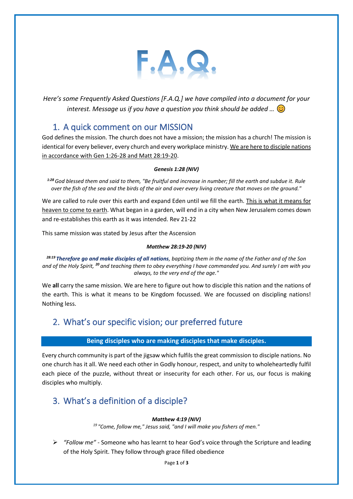

*Here's some Frequently Asked Questions [F.A.Q.] we have compiled into a document for your interest. Message us if you have a question you think should be added …* 

## 1. A quick comment on our MISSION

God defines the mission. The church does not have a mission; the mission has a church! The mission is identical for every believer, every church and every workplace ministry. We are here to disciple nations in accordance with Gen 1:26-28 and Matt 28:19-20.

#### *Genesis 1:28 (NIV)*

*1:28 God blessed them and said to them, "Be fruitful and increase in number; fill the earth and subdue it. Rule over the fish of the sea and the birds of the air and over every living creature that moves on the ground."*

We are called to rule over this earth and expand Eden until we fill the earth. This is what it means for heaven to come to earth. What began in a garden, will end in a city when New Jerusalem comes down and re-establishes this earth as it was intended. Rev 21-22

This same mission was stated by Jesus after the Ascension

#### *Matthew 28:19-20 (NIV)*

*28:19 Therefore go and make disciples of all nations, baptizing them in the name of the Father and of the Son and of the Holy Spirit, <sup>20</sup>and teaching them to obey everything I have commanded you. And surely I am with you always, to the very end of the age."*

We **all** carry the same mission. We are here to figure out how to disciple this nation and the nations of the earth. This is what it means to be Kingdom focussed. We are focussed on discipling nations! Nothing less.

# 2. What's our specific vision; our preferred future

### **Being disciples who are making disciples that make disciples.**

Every church community is part of the jigsaw which fulfils the great commission to disciple nations. No one church has it all. We need each other in Godly honour, respect, and unity to wholeheartedly fulfil each piece of the puzzle, without threat or insecurity for each other. For us, our focus is making disciples who multiply.

# 3. What's a definition of a disciple?

#### *Matthew 4:19 (NIV)*

*<sup>19</sup>"Come, follow me," Jesus said, "and I will make you fishers of men."*

➢ *"Follow me"* - Someone who has learnt to hear God's voice through the Scripture and leading of the Holy Spirit. They follow through grace filled obedience

Page **1** of **3**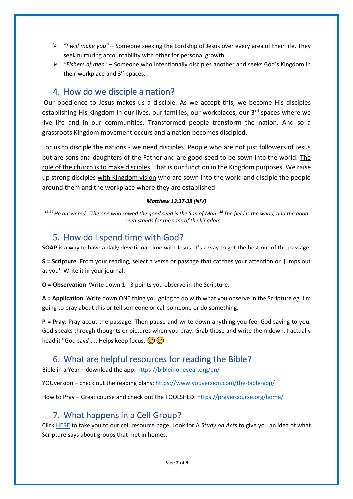- ➢ *"I will make you"* Someone seeking the Lordship of Jesus over every area of their life. They seek nurturing accountability with other for personal growth.
- ➢ *"Fishers of men"* Someone who intentionally disciples another and seeks God's Kingdom in their workplace and 3<sup>rd</sup> spaces.

## 4. How do we disciple a nation?

Our obedience to Jesus makes us a disciple. As we accept this, we become His disciples establishing His Kingdom in our lives, our families, our workplaces, our 3<sup>rd</sup> spaces where we live life and in our communities. Transformed people transform the nation. And so a grassroots Kingdom movement occurs and a nation becomes discipled.

For us to disciple the nations - we need disciples. People who are not just followers of Jesus but are sons and daughters of the Father and are good seed to be sown into the world. The role of the church is to make disciples. That is our function in the Kingdom purposes. We raise up strong disciples with Kingdom vision who are sown into the world and disciple the people around them and the workplace where they are established.

#### *Matthew 13:37-38 (NIV)*

*13:37 He answered, "The one who sowed the good seed is the Son of Man. <sup>38</sup>The field is the world, and the good seed stands for the sons of the kingdom. …*

### 5. How do I spend time with God?

**SOAP** is a way to have a daily devotional time with Jesus. It's a way to get the best out of the passage.

**S = Scripture**. From your reading, select a verse or passage that catches your attention or 'jumps out at you'. Write it in your journal.

**O = Observation**. Write down 1 - 3 points you observe in the Scripture.

**A = Application**. Write down ONE thing you going to do with what you observe in the Scripture eg. I'm going to pray about this or tell someone or call someone or do something.

**P = Pray.** Pray about the passage. Then pause and write down anything you feel God saying to you. God speaks through thoughts or pictures when you pray. Grab those and write them down. I actually head it "God says".... Helps keep focus.  $\bigoplus$   $\bigoplus$ 

## 6. What are helpful resources for reading the Bible?

Bible in a Year – download the app[: https://bibleinoneyear.org/en/](https://bibleinoneyear.org/en/)

YOUversion – check out the reading plans[: https://www.youversion.com/the-bible-app/](https://www.youversion.com/the-bible-app/)

How to Pray – Great course and check out the TOOLSHED[: https://prayercourse.org/home/](https://prayercourse.org/home/)

### 7. What happens in a Cell Group?

Click [HERE](https://escc.co.za/a-ministries/cell-groups/cell-group-guidelines-resources/) to take you to our cell resource page. Look for A *Study on Acts* to give you an idea of what Scripture says about groups that met in homes.